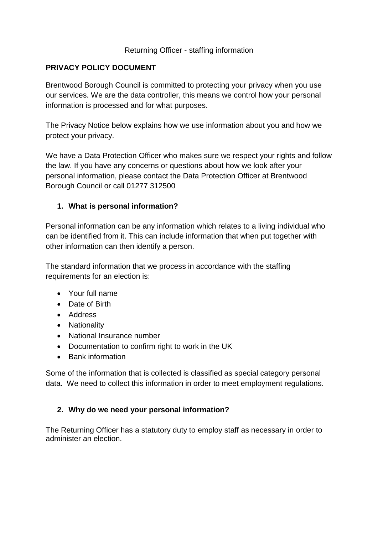### Returning Officer - staffing information

### **PRIVACY POLICY DOCUMENT**

Brentwood Borough Council is committed to protecting your privacy when you use our services. We are the data controller, this means we control how your personal information is processed and for what purposes.

The Privacy Notice below explains how we use information about you and how we protect your privacy.

We have a Data Protection Officer who makes sure we respect your rights and follow the law. If you have any concerns or questions about how we look after your personal information, please contact the Data Protection Officer at Brentwood Borough Council or call 01277 312500

## **1. What is personal information?**

Personal information can be any information which relates to a living individual who can be identified from it. This can include information that when put together with other information can then identify a person.

The standard information that we process in accordance with the staffing requirements for an election is:

- Your full name
- Date of Birth
- Address
- Nationality
- National Insurance number
- Documentation to confirm right to work in the UK
- Bank information

Some of the information that is collected is classified as special category personal data. We need to collect this information in order to meet employment regulations.

#### **2. Why do we need your personal information?**

The Returning Officer has a statutory duty to employ staff as necessary in order to administer an election.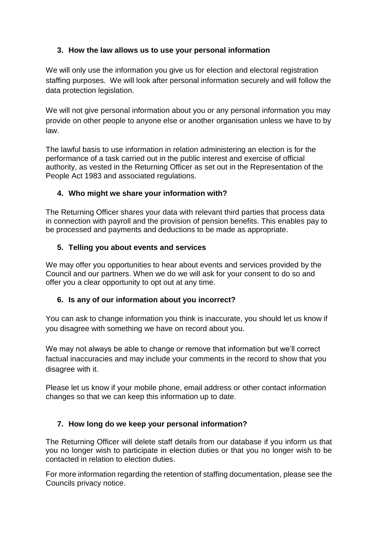# **3. How the law allows us to use your personal information**

We will only use the information you give us for election and electoral registration staffing purposes. We will look after personal information securely and will follow the data protection legislation.

We will not give personal information about you or any personal information you may provide on other people to anyone else or another organisation unless we have to by law.

The lawful basis to use information in relation administering an election is for the performance of a task carried out in the public interest and exercise of official authority, as vested in the Returning Officer as set out in the Representation of the People Act 1983 and associated regulations.

## **4. Who might we share your information with?**

The Returning Officer shares your data with relevant third parties that process data in connection with payroll and the provision of pension benefits. This enables pay to be processed and payments and deductions to be made as appropriate.

## **5. Telling you about events and services**

We may offer you opportunities to hear about events and services provided by the Council and our partners. When we do we will ask for your consent to do so and offer you a clear opportunity to opt out at any time.

#### **6. Is any of our information about you incorrect?**

You can ask to change information you think is inaccurate, you should let us know if you disagree with something we have on record about you.

We may not always be able to change or remove that information but we'll correct factual inaccuracies and may include your comments in the record to show that you disagree with it.

Please let us know if your mobile phone, email address or other contact information changes so that we can keep this information up to date.

# **7. How long do we keep your personal information?**

The Returning Officer will delete staff details from our database if you inform us that you no longer wish to participate in election duties or that you no longer wish to be contacted in relation to election duties.

For more information regarding the retention of staffing documentation, please see the Councils privacy notice.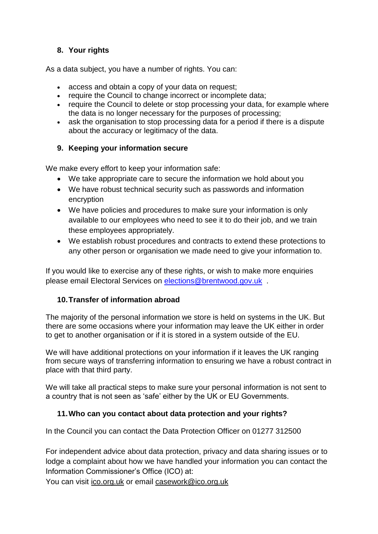## **8. Your rights**

As a data subject, you have a number of rights. You can:

- access and obtain a copy of your data on request;
- require the Council to change incorrect or incomplete data;
- require the Council to delete or stop processing your data, for example where the data is no longer necessary for the purposes of processing;
- ask the organisation to stop processing data for a period if there is a dispute about the accuracy or legitimacy of the data.

## **9. Keeping your information secure**

We make every effort to keep your information safe:

- We take appropriate care to secure the information we hold about you
- We have robust technical security such as passwords and information encryption
- We have policies and procedures to make sure your information is only available to our employees who need to see it to do their job, and we train these employees appropriately.
- We establish robust procedures and contracts to extend these protections to any other person or organisation we made need to give your information to.

If you would like to exercise any of these rights, or wish to make more enquiries please email Electoral Services on [elections@brentwood.gov.uk](mailto:elections@brentwood.gov.uk) .

# **10.Transfer of information abroad**

The majority of the personal information we store is held on systems in the UK. But there are some occasions where your information may leave the UK either in order to get to another organisation or if it is stored in a system outside of the EU.

We will have additional protections on your information if it leaves the UK ranging from secure ways of transferring information to ensuring we have a robust contract in place with that third party.

We will take all practical steps to make sure your personal information is not sent to a country that is not seen as 'safe' either by the UK or EU Governments.

# **11.Who can you contact about data protection and your rights?**

In the Council you can contact the Data Protection Officer on 01277 312500

For independent advice about data protection, privacy and data sharing issues or to lodge a complaint about how we have handled your information you can contact the Information Commissioner's Office (ICO) at:

You can visit [ico.org.uk](https://ico.org.uk/) or email [casework@ico.org.uk](mailto:casework@ico.org.uk)